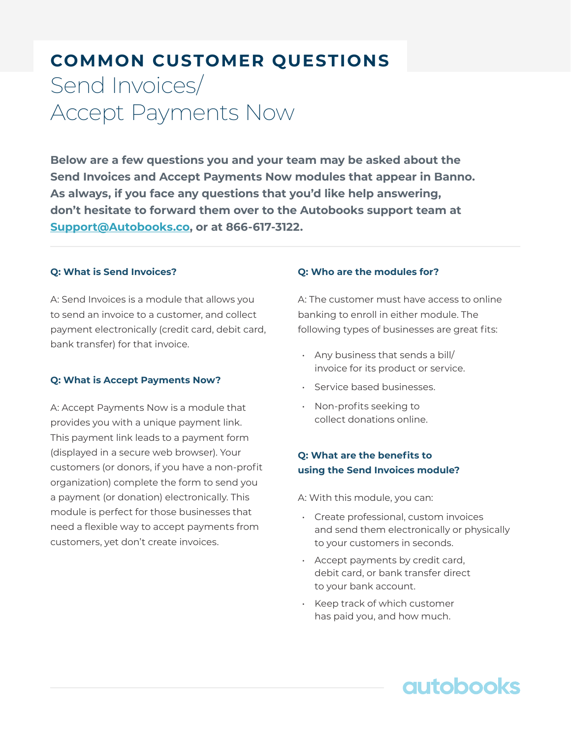# **COMMON CUSTOMER QUESTIONS**  Send Invoices/ Accept Payments Now

**Below are a few questions you and your team may be asked about the Send Invoices and Accept Payments Now modules that appear in Banno. As always, if you face any questions that you'd like help answering, don't hesitate to forward them over to the Autobooks support team at [Support@Autobooks.co,](mailto:Support%40Autobooks.co?subject=) or at 866-617-3122.**

#### **Q: What is Send Invoices?**

A: Send Invoices is a module that allows you to send an invoice to a customer, and collect payment electronically (credit card, debit card, bank transfer) for that invoice.

#### **Q: What is Accept Payments Now?**

A: Accept Payments Now is a module that provides you with a unique payment link. This payment link leads to a payment form (displayed in a secure web browser). Your customers (or donors, if you have a non-profit organization) complete the form to send you a payment (or donation) electronically. This module is perfect for those businesses that need a flexible way to accept payments from customers, yet don't create invoices.

#### **Q: Who are the modules for?**

A: The customer must have access to online banking to enroll in either module. The following types of businesses are great fits:

- Any business that sends a bill/ invoice for its product or service.
- Service based businesses.
- Non-profits seeking to collect donations online.

#### **Q: What are the benefits to using the Send Invoices module?**

A: With this module, you can:

• Create professional, custom invoices and send them electronically or physically to your customers in seconds.

**autobooks** 

- Accept payments by credit card, debit card, or bank transfer direct to your bank account.
- Keep track of which customer has paid you, and how much.